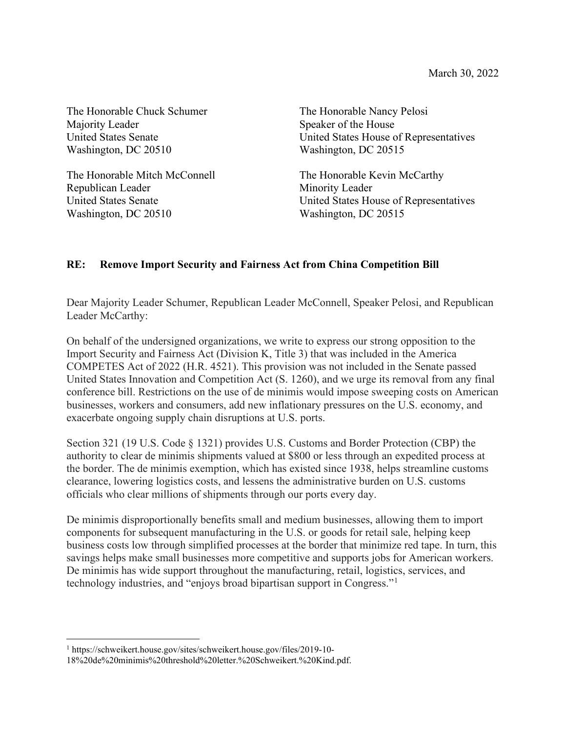The Honorable Chuck Schumer The Honorable Nancy Pelosi Majority Leader Speaker of the House Washington, DC 20510 Washington, DC 20515

The Honorable Mitch McConnell The Honorable Kevin McCarthy Republican Leader Minority Leader Washington, DC 20510 Washington, DC 20515

United States Senate United States House of Representatives

United States Senate United States House of Representatives

## **RE: Remove Import Security and Fairness Act from China Competition Bill**

Dear Majority Leader Schumer, Republican Leader McConnell, Speaker Pelosi, and Republican Leader McCarthy:

On behalf of the undersigned organizations, we write to express our strong opposition to the Import Security and Fairness Act (Division K, Title 3) that was included in the America COMPETES Act of 2022 (H.R. 4521). This provision was not included in the Senate passed United States Innovation and Competition Act (S. 1260), and we urge its removal from any final conference bill. Restrictions on the use of de minimis would impose sweeping costs on American businesses, workers and consumers, add new inflationary pressures on the U.S. economy, and exacerbate ongoing supply chain disruptions at U.S. ports.

Section 321 (19 U.S. Code § 1321) provides U.S. Customs and Border Protection (CBP) the authority to clear de minimis shipments valued at \$800 or less through an expedited process at the border. The de minimis exemption, which has existed since 1938, helps streamline customs clearance, lowering logistics costs, and lessens the administrative burden on U.S. customs officials who clear millions of shipments through our ports every day.

De minimis disproportionally benefits small and medium businesses, allowing them to import components for subsequent manufacturing in the U.S. or goods for retail sale, helping keep business costs low through simplified processes at the border that minimize red tape. In turn, this savings helps make small businesses more competitive and supports jobs for American workers. De minimis has wide support throughout the manufacturing, retail, logistics, services, and technology industries, and "enjoys broad bipartisan support in Congress."[1](#page-0-0)

<span id="page-0-0"></span><sup>1</sup> https://schweikert.house.gov/sites/schweikert.house.gov/files/2019-10-

<sup>18%20</sup>de%20minimis%20threshold%20letter.%20Schweikert.%20Kind.pdf.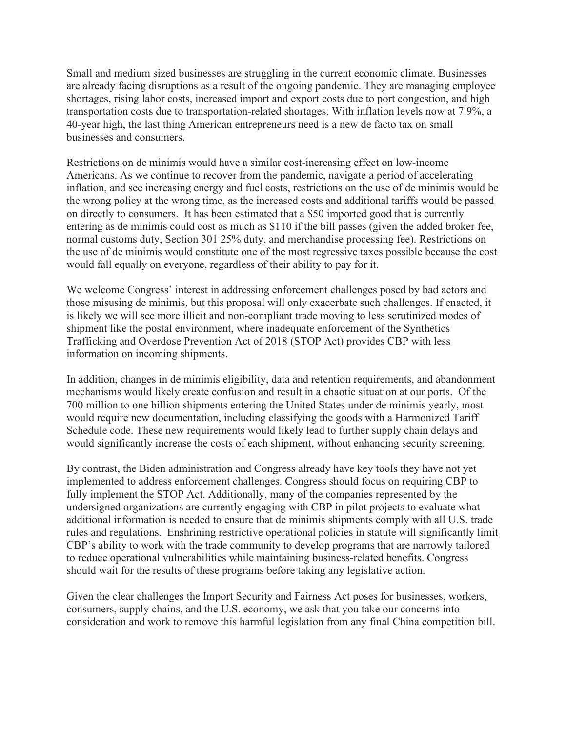Small and medium sized businesses are struggling in the current economic climate. Businesses are already facing disruptions as a result of the ongoing pandemic. They are managing employee shortages, rising labor costs, increased import and export costs due to port congestion, and high transportation costs due to transportation-related shortages. With inflation levels now at 7.9%, a 40-year high, the last thing American entrepreneurs need is a new de facto tax on small businesses and consumers.

Restrictions on de minimis would have a similar cost-increasing effect on low-income Americans. As we continue to recover from the pandemic, navigate a period of accelerating inflation, and see increasing energy and fuel costs, restrictions on the use of de minimis would be the wrong policy at the wrong time, as the increased costs and additional tariffs would be passed on directly to consumers. It has been estimated that a \$50 imported good that is currently entering as de minimis could cost as much as \$110 if the bill passes (given the added broker fee, normal customs duty, Section 301 25% duty, and merchandise processing fee). Restrictions on the use of de minimis would constitute one of the most regressive taxes possible because the cost would fall equally on everyone, regardless of their ability to pay for it.

We welcome Congress' interest in addressing enforcement challenges posed by bad actors and those misusing de minimis, but this proposal will only exacerbate such challenges. If enacted, it is likely we will see more illicit and non-compliant trade moving to less scrutinized modes of shipment like the postal environment, where inadequate enforcement of the Synthetics Trafficking and Overdose Prevention Act of 2018 (STOP Act) provides CBP with less information on incoming shipments.

In addition, changes in de minimis eligibility, data and retention requirements, and abandonment mechanisms would likely create confusion and result in a chaotic situation at our ports. Of the 700 million to one billion shipments entering the United States under de minimis yearly, most would require new documentation, including classifying the goods with a Harmonized Tariff Schedule code. These new requirements would likely lead to further supply chain delays and would significantly increase the costs of each shipment, without enhancing security screening.

By contrast, the Biden administration and Congress already have key tools they have not yet implemented to address enforcement challenges. Congress should focus on requiring CBP to fully implement the STOP Act. Additionally, many of the companies represented by the undersigned organizations are currently engaging with CBP in pilot projects to evaluate what additional information is needed to ensure that de minimis shipments comply with all U.S. trade rules and regulations. Enshrining restrictive operational policies in statute will significantly limit CBP's ability to work with the trade community to develop programs that are narrowly tailored to reduce operational vulnerabilities while maintaining business-related benefits. Congress should wait for the results of these programs before taking any legislative action.

Given the clear challenges the Import Security and Fairness Act poses for businesses, workers, consumers, supply chains, and the U.S. economy, we ask that you take our concerns into consideration and work to remove this harmful legislation from any final China competition bill.